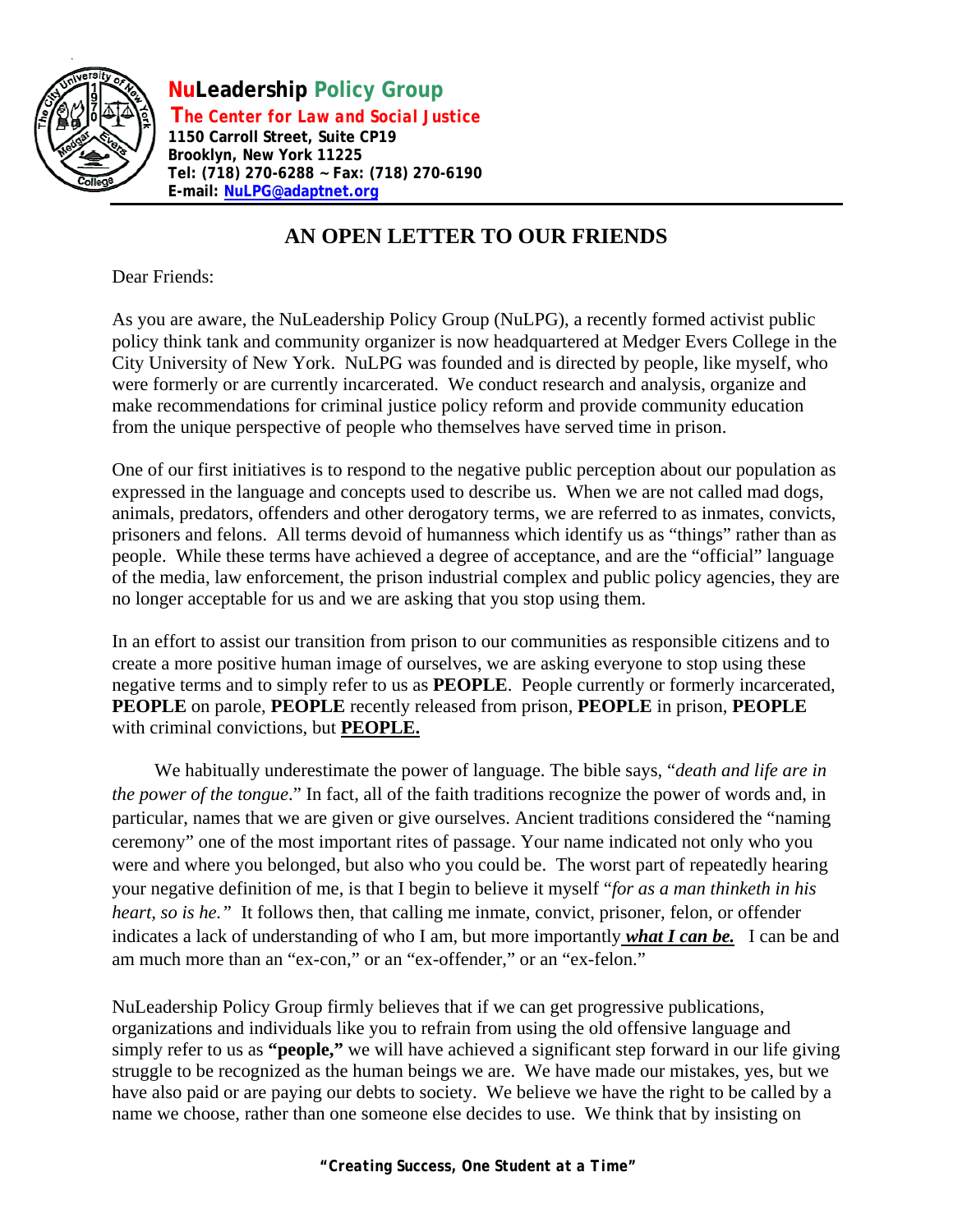

 **NuLeadership Policy Group T***he Center for Law and Social Justice*  **1150 Carroll Street, Suite CP19 Brooklyn, New York 11225 Tel: (718) 270-6288 ~ Fax: (718) 270-6190 E-mail: [NuLPG@adaptnet.org](mailto:NuLPG@adaptnet.org)**

## **AN OPEN LETTER TO OUR FRIENDS**

Dear Friends:

As you are aware, the NuLeadership Policy Group (NuLPG), a recently formed activist public policy think tank and community organizer is now headquartered at Medger Evers College in the City University of New York. NuLPG was founded and is directed by people, like myself, who were formerly or are currently incarcerated. We conduct research and analysis, organize and make recommendations for criminal justice policy reform and provide community education from the unique perspective of people who themselves have served time in prison.

One of our first initiatives is to respond to the negative public perception about our population as expressed in the language and concepts used to describe us. When we are not called mad dogs, animals, predators, offenders and other derogatory terms, we are referred to as inmates, convicts, prisoners and felons. All terms devoid of humanness which identify us as "things" rather than as people. While these terms have achieved a degree of acceptance, and are the "official" language of the media, law enforcement, the prison industrial complex and public policy agencies, they are no longer acceptable for us and we are asking that you stop using them.

In an effort to assist our transition from prison to our communities as responsible citizens and to create a more positive human image of ourselves, we are asking everyone to stop using these negative terms and to simply refer to us as **PEOPLE**. People currently or formerly incarcerated, **PEOPLE** on parole, **PEOPLE** recently released from prison, **PEOPLE** in prison, **PEOPLE**  with criminal convictions, but **PEOPLE.**

We habitually underestimate the power of language. The bible says, "*death and life are in the power of the tongue*." In fact, all of the faith traditions recognize the power of words and, in particular, names that we are given or give ourselves. Ancient traditions considered the "naming ceremony" one of the most important rites of passage. Your name indicated not only who you were and where you belonged, but also who you could be. The worst part of repeatedly hearing your negative definition of me, is that I begin to believe it myself "*for as a man thinketh in his heart, so is he.*" It follows then, that calling me inmate, convict, prisoner, felon, or offender indicates a lack of understanding of who I am, but more importantly *what I can be.* I can be and am much more than an "ex-con," or an "ex-offender," or an "ex-felon."

NuLeadership Policy Group firmly believes that if we can get progressive publications, organizations and individuals like you to refrain from using the old offensive language and simply refer to us as **"people,"** we will have achieved a significant step forward in our life giving struggle to be recognized as the human beings we are. We have made our mistakes, yes, but we have also paid or are paying our debts to society. We believe we have the right to be called by a name we choose, rather than one someone else decides to use. We think that by insisting on